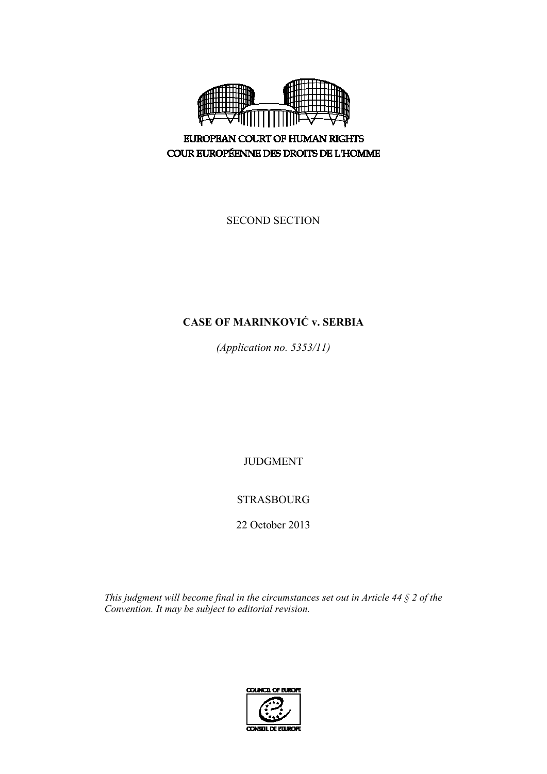

**EUROPEAN COURT OF HUMAN RIGHTS** COUR EUROPÉENNE DES DROITS DE L'HOMME

SECOND SECTION

# **CASE OF MARINKOVIĆ v. SERBIA**

*(Application no. 5353/11)* 

JUDGMENT

# STRASBOURG

22 October 2013

*This judgment will become final in the circumstances set out in Article 44 § 2 of the Convention. It may be subject to editorial revision.* 

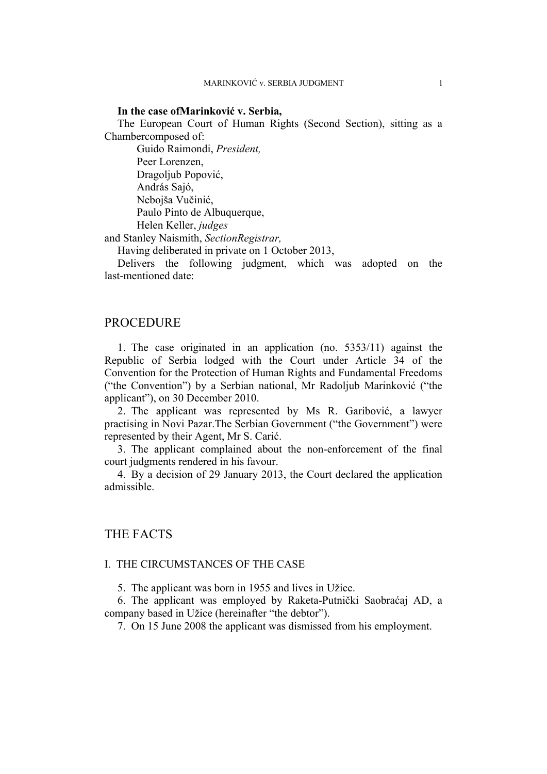#### **In the case ofMarinković v. Serbia,**

The European Court of Human Rights (Second Section), sitting as a Chambercomposed of:

Guido Raimondi, *President,*  Peer Lorenzen, Dragoljub Popović, András Sajó, Nebojša Vučinić, Paulo Pinto de Albuquerque, Helen Keller, *judges*

and Stanley Naismith, *SectionRegistrar,*

Having deliberated in private on 1 October 2013,

Delivers the following judgment, which was adopted on the last-mentioned date:

### PROCEDURE

1. The case originated in an application (no. 5353/11) against the Republic of Serbia lodged with the Court under Article 34 of the Convention for the Protection of Human Rights and Fundamental Freedoms ("the Convention") by a Serbian national, Mr Radoljub Marinković ("the applicant"), on 30 December 2010.

2. The applicant was represented by Ms R. Garibović, a lawyer practising in Novi Pazar.The Serbian Government ("the Government") were represented by their Agent, Mr S. Carić.

3. The applicant complained about the non-enforcement of the final court judgments rendered in his favour.

4. By a decision of 29 January 2013, the Court declared the application admissible.

# THE FACTS

#### I. THE CIRCUMSTANCES OF THE CASE

5. The applicant was born in 1955 and lives in Užice.

6. The applicant was employed by Raketa-Putnički Saobraćaj AD, a company based in Užice (hereinafter "the debtor").

7. On 15 June 2008 the applicant was dismissed from his employment.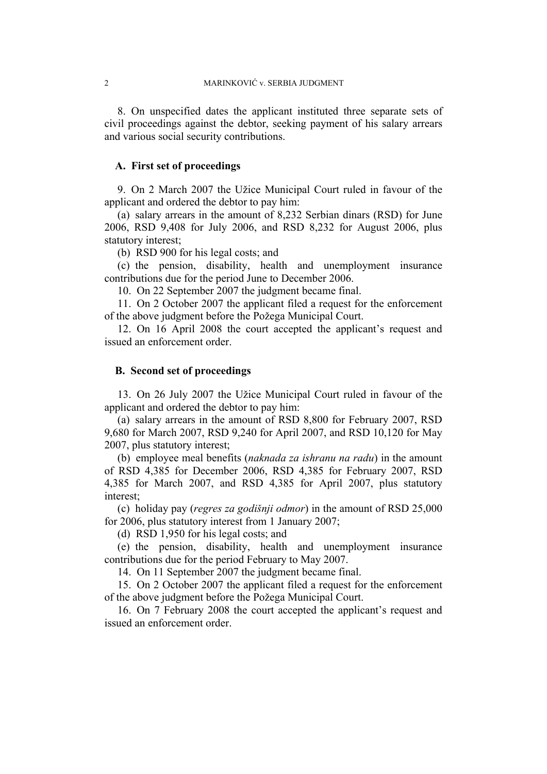8. On unspecified dates the applicant instituted three separate sets of civil proceedings against the debtor, seeking payment of his salary arrears and various social security contributions.

## **A. First set of proceedings**

9. On 2 March 2007 the Užice Municipal Court ruled in favour of the applicant and ordered the debtor to pay him:

(a) salary arrears in the amount of 8,232 Serbian dinars (RSD) for June 2006, RSD 9,408 for July 2006, and RSD 8,232 for August 2006, plus statutory interest;

(b) RSD 900 for his legal costs; and

(c) the pension, disability, health and unemployment insurance contributions due for the period June to December 2006.

10. On 22 September 2007 the judgment became final.

11. On 2 October 2007 the applicant filed a request for the enforcement of the above judgment before the Požega Municipal Court.

12. On 16 April 2008 the court accepted the applicant's request and issued an enforcement order.

#### **B. Second set of proceedings**

13. On 26 July 2007 the Užice Municipal Court ruled in favour of the applicant and ordered the debtor to pay him:

(a) salary arrears in the amount of RSD 8,800 for February 2007, RSD 9,680 for March 2007, RSD 9,240 for April 2007, and RSD 10,120 for May 2007, plus statutory interest;

(b) employee meal benefits (*naknada za ishranu na radu*) in the amount of RSD 4,385 for December 2006, RSD 4,385 for February 2007, RSD 4,385 for March 2007, and RSD 4,385 for April 2007, plus statutory interest;

(c) holiday pay (*regres za godišnji odmor*) in the amount of RSD 25,000 for 2006, plus statutory interest from 1 January 2007;

(d) RSD 1,950 for his legal costs; and

(e) the pension, disability, health and unemployment insurance contributions due for the period February to May 2007.

14. On 11 September 2007 the judgment became final.

15. On 2 October 2007 the applicant filed a request for the enforcement of the above judgment before the Požega Municipal Court.

16. On 7 February 2008 the court accepted the applicant's request and issued an enforcement order.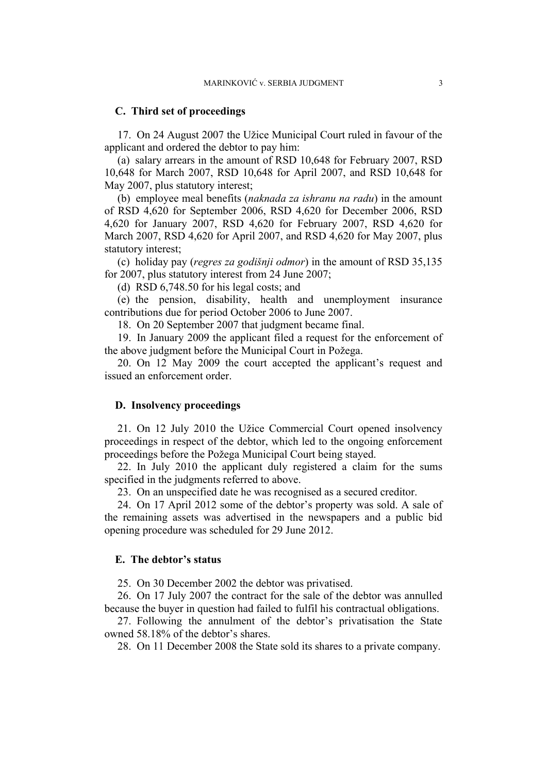#### **C. Third set of proceedings**

17. On 24 August 2007 the Užice Municipal Court ruled in favour of the applicant and ordered the debtor to pay him:

(a) salary arrears in the amount of RSD 10,648 for February 2007, RSD 10,648 for March 2007, RSD 10,648 for April 2007, and RSD 10,648 for May 2007, plus statutory interest;

(b) employee meal benefits (*naknada za ishranu na radu*) in the amount of RSD 4,620 for September 2006, RSD 4,620 for December 2006, RSD 4,620 for January 2007, RSD 4,620 for February 2007, RSD 4,620 for March 2007, RSD 4,620 for April 2007, and RSD 4,620 for May 2007, plus statutory interest;

(c) holiday pay (*regres za godišnji odmor*) in the amount of RSD 35,135 for 2007, plus statutory interest from 24 June 2007;

(d) RSD 6,748.50 for his legal costs; and

(e) the pension, disability, health and unemployment insurance contributions due for period October 2006 to June 2007.

18. On 20 September 2007 that judgment became final.

19. In January 2009 the applicant filed a request for the enforcement of the above judgment before the Municipal Court in Požega.

20. On 12 May 2009 the court accepted the applicant's request and issued an enforcement order.

#### **D. Insolvency proceedings**

21. On 12 July 2010 the Užice Commercial Court opened insolvency proceedings in respect of the debtor, which led to the ongoing enforcement proceedings before the Požega Municipal Court being stayed.

22. In July 2010 the applicant duly registered a claim for the sums specified in the judgments referred to above.

23. On an unspecified date he was recognised as a secured creditor.

24. On 17 April 2012 some of the debtor's property was sold. A sale of the remaining assets was advertised in the newspapers and a public bid opening procedure was scheduled for 29 June 2012.

#### **E. The debtor's status**

25. On 30 December 2002 the debtor was privatised.

26. On 17 July 2007 the contract for the sale of the debtor was annulled because the buyer in question had failed to fulfil his contractual obligations.

27. Following the annulment of the debtor's privatisation the State owned 58.18% of the debtor's shares.

28. On 11 December 2008 the State sold its shares to a private company.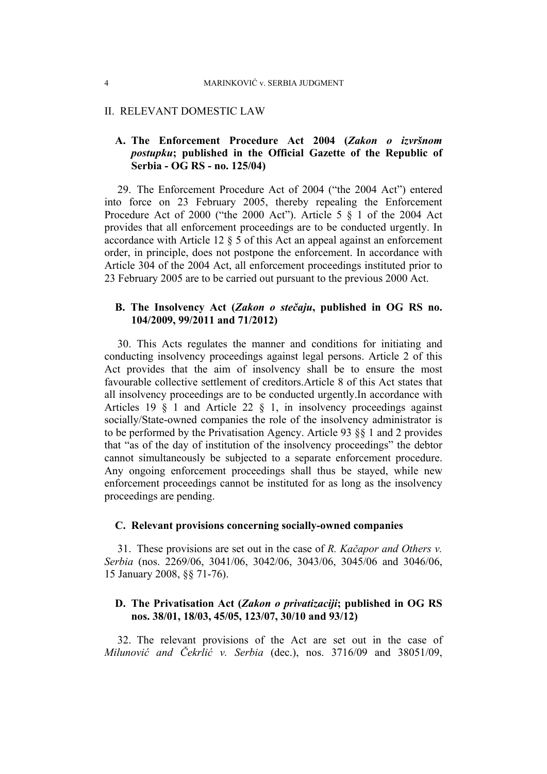#### II. RELEVANT DOMESTIC LAW

# **A. The Enforcement Procedure Act 2004 (***Zakon o izvršnom postupku***; published in the Official Gazette of the Republic of Serbia - OG RS - no. 125/04)**

29. The Enforcement Procedure Act of 2004 ("the 2004 Act") entered into force on 23 February 2005, thereby repealing the Enforcement Procedure Act of 2000 ("the 2000 Act"). Article 5 § 1 of the 2004 Act provides that all enforcement proceedings are to be conducted urgently. In accordance with Article 12  $\S$  5 of this Act an appeal against an enforcement order, in principle, does not postpone the enforcement. In accordance with Article 304 of the 2004 Act, all enforcement proceedings instituted prior to 23 February 2005 are to be carried out pursuant to the previous 2000 Act.

# **B. The Insolvency Act (***Zakon o stečaju***, published in OG RS no. 104/2009, 99/2011 and 71/2012)**

30. This Acts regulates the manner and conditions for initiating and conducting insolvency proceedings against legal persons. Article 2 of this Act provides that the aim of insolvency shall be to ensure the most favourable collective settlement of creditors.Article 8 of this Act states that all insolvency proceedings are to be conducted urgently.In accordance with Articles 19 § 1 and Article 22 § 1, in insolvency proceedings against socially/State-owned companies the role of the insolvency administrator is to be performed by the Privatisation Agency. Article 93 §§ 1 and 2 provides that "as of the day of institution of the insolvency proceedings" the debtor cannot simultaneously be subjected to a separate enforcement procedure. Any ongoing enforcement proceedings shall thus be stayed, while new enforcement proceedings cannot be instituted for as long as the insolvency proceedings are pending.

#### **C. Relevant provisions concerning socially-owned companies**

31. These provisions are set out in the case of *R. Kačapor and Others v. Serbia* (nos. 2269/06, 3041/06, 3042/06, 3043/06, 3045/06 and 3046/06, 15 January 2008, §§ 71-76).

## **D. The Privatisation Act (***Zakon o privatizaciji***; published in OG RS nos. 38/01, 18/03, 45/05, 123/07, 30/10 and 93/12)**

32. The relevant provisions of the Act are set out in the case of *Milunović and Čekrlić v. Serbia* (dec.), nos. 3716/09 and 38051/09,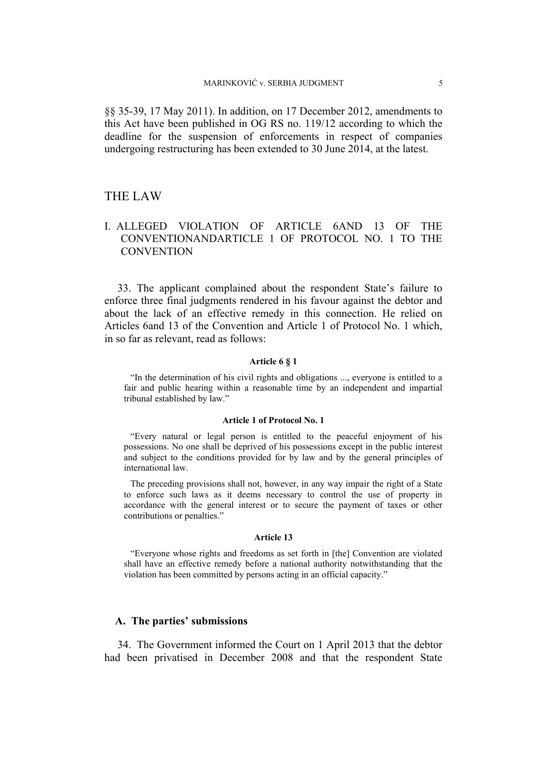§§ 35-39, 17 May 2011). In addition, on 17 December 2012, amendments to this Act have been published in OG RS no. 119/12 according to which the deadline for the suspension of enforcements in respect of companies undergoing restructuring has been extended to 30 June 2014, at the latest.

## THE LAW

# I. ALLEGED VIOLATION OF ARTICLE 6AND 13 OF THE CONVENTIONANDARTICLE 1 OF PROTOCOL NO. 1 TO THE **CONVENTION**

33. The applicant complained about the respondent State's failure to enforce three final judgments rendered in his favour against the debtor and about the lack of an effective remedy in this connection. He relied on Articles 6and 13 of the Convention and Article 1 of Protocol No. 1 which, in so far as relevant, read as follows:

#### **Article 6 § 1**

"In the determination of his civil rights and obligations ..., everyone is entitled to a fair and public hearing within a reasonable time by an independent and impartial tribunal established by law."

#### **Article 1 of Protocol No. 1**

"Every natural or legal person is entitled to the peaceful enjoyment of his possessions. No one shall be deprived of his possessions except in the public interest and subject to the conditions provided for by law and by the general principles of international law.

The preceding provisions shall not, however, in any way impair the right of a State to enforce such laws as it deems necessary to control the use of property in accordance with the general interest or to secure the payment of taxes or other contributions or penalties."

#### **Article 13**

"Everyone whose rights and freedoms as set forth in [the] Convention are violated shall have an effective remedy before a national authority notwithstanding that the violation has been committed by persons acting in an official capacity."

#### **A. The parties' submissions**

34. The Government informed the Court on 1 April 2013 that the debtor had been privatised in December 2008 and that the respondent State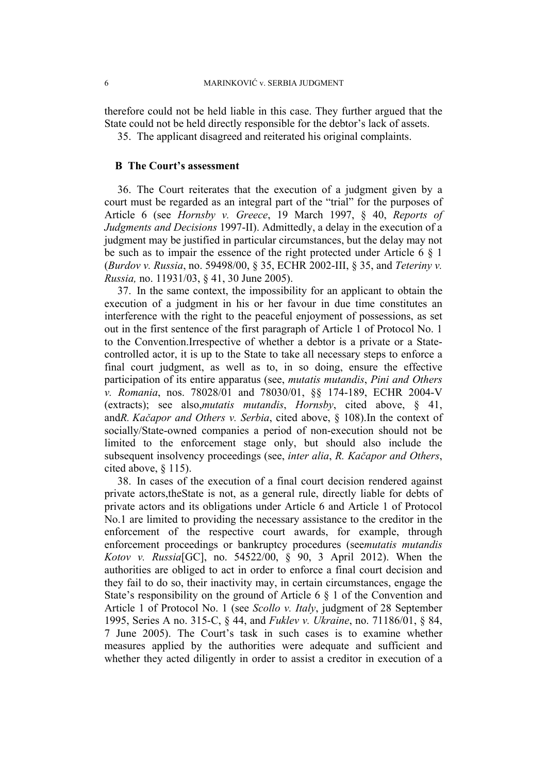therefore could not be held liable in this case. They further argued that the State could not be held directly responsible for the debtor's lack of assets.

35. The applicant disagreed and reiterated his original complaints.

## **B The Court's assessment**

36. The Court reiterates that the execution of a judgment given by a court must be regarded as an integral part of the "trial" for the purposes of Article 6 (see *Hornsby v. Greece*, 19 March 1997, § 40, *Reports of Judgments and Decisions* 1997-II). Admittedly, a delay in the execution of a judgment may be justified in particular circumstances, but the delay may not be such as to impair the essence of the right protected under Article 6 § 1 (*Burdov v. Russia*, no. 59498/00, § 35, ECHR 2002-III, § 35, and *Teteriny v. Russia,* no. 11931/03, § 41, 30 June 2005).

37. In the same context, the impossibility for an applicant to obtain the execution of a judgment in his or her favour in due time constitutes an interference with the right to the peaceful enjoyment of possessions, as set out in the first sentence of the first paragraph of Article 1 of Protocol No. 1 to the Convention.Irrespective of whether a debtor is a private or a Statecontrolled actor, it is up to the State to take all necessary steps to enforce a final court judgment, as well as to, in so doing, ensure the effective participation of its entire apparatus (see, *mutatis mutandis*, *Pini and Others v. Romania*, nos. 78028/01 and 78030/01, §§ 174-189, ECHR 2004-V (extracts); see also,*mutatis mutandis*, *Hornsby*, cited above, § 41, and*R. Kačapor and Others v. Serbia*, cited above, § 108).In the context of socially/State-owned companies a period of non-execution should not be limited to the enforcement stage only, but should also include the subsequent insolvency proceedings (see, *inter alia*, *R. Kačapor and Others*, cited above, § 115).

38. In cases of the execution of a final court decision rendered against private actors,theState is not, as a general rule, directly liable for debts of private actors and its obligations under Article 6 and Article 1 of Protocol No.1 are limited to providing the necessary assistance to the creditor in the enforcement of the respective court awards, for example, through enforcement proceedings or bankruptcy procedures (see*mutatis mutandis Kotov v. Russia*[GC], no. 54522/00, § 90, 3 April 2012). When the authorities are obliged to act in order to enforce a final court decision and they fail to do so, their inactivity may, in certain circumstances, engage the State's responsibility on the ground of Article 6 § 1 of the Convention and Article 1 of Protocol No. 1 (see *Scollo v. Italy*, judgment of 28 September 1995, Series A no. 315-C, § 44, and *Fuklev v. Ukraine*, no. 71186/01, § 84, 7 June 2005). The Court's task in such cases is to examine whether measures applied by the authorities were adequate and sufficient and whether they acted diligently in order to assist a creditor in execution of a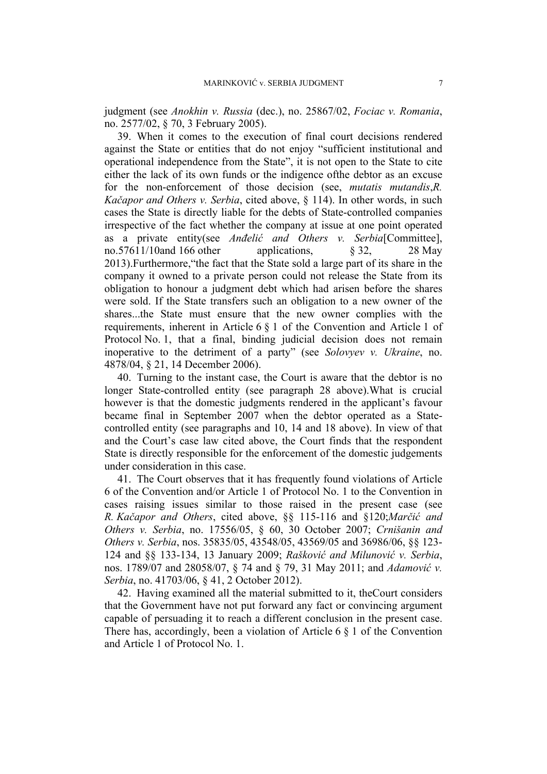judgment (see *Anokhin v. Russia* (dec.), no. 25867/02, *Fociac v. Romania*, no. 2577/02, § 70, 3 February 2005).

39. When it comes to the execution of final court decisions rendered against the State or entities that do not enjoy "sufficient institutional and operational independence from the State", it is not open to the State to cite either the lack of its own funds or the indigence ofthe debtor as an excuse for the non-enforcement of those decision (see, *mutatis mutandis*,*R. Kačapor and Others v. Serbia*, cited above, § 114). In other words, in such cases the State is directly liable for the debts of State-controlled companies irrespective of the fact whether the company at issue at one point operated as a private entity(see *Anđelić and Others v. Serbia*[Committee], no.57611/10and 166 other applications,  $\&$  32, 28 May 2013).Furthermore,"the fact that the State sold a large part of its share in the company it owned to a private person could not release the State from its obligation to honour a judgment debt which had arisen before the shares were sold. If the State transfers such an obligation to a new owner of the shares...the State must ensure that the new owner complies with the requirements, inherent in Article 6 § 1 of the Convention and Article 1 of Protocol No. 1, that a final, binding judicial decision does not remain inoperative to the detriment of a party" (see *Solovyev v. Ukraine*, no. 4878/04, § 21, 14 December 2006).

40. Turning to the instant case, the Court is aware that the debtor is no longer State-controlled entity (see paragraph 28 above).What is crucial however is that the domestic judgments rendered in the applicant's favour became final in September 2007 when the debtor operated as a Statecontrolled entity (see paragraphs and 10, 14 and 18 above). In view of that and the Court's case law cited above, the Court finds that the respondent State is directly responsible for the enforcement of the domestic judgements under consideration in this case.

41. The Court observes that it has frequently found violations of Article 6 of the Convention and/or Article 1 of Protocol No. 1 to the Convention in cases raising issues similar to those raised in the present case (see *R. Kačapor and Others*, cited above, §§ 115-116 and §120;*Marčić and Others v. Serbia*, no. 17556/05, § 60, 30 October 2007; *Crnišanin and Others v. Serbia*, nos. 35835/05, 43548/05, 43569/05 and 36986/06, §§ 123- 124 and §§ 133-134, 13 January 2009; *Rašković and Milunović v. Serbia*, nos. 1789/07 and 28058/07, § 74 and § 79, 31 May 2011; and *Adamović v. Serbia*, no. 41703/06, § 41, 2 October 2012).

42. Having examined all the material submitted to it, theCourt considers that the Government have not put forward any fact or convincing argument capable of persuading it to reach a different conclusion in the present case. There has, accordingly, been a violation of Article  $6 \nless 1$  of the Convention and Article 1 of Protocol No. 1.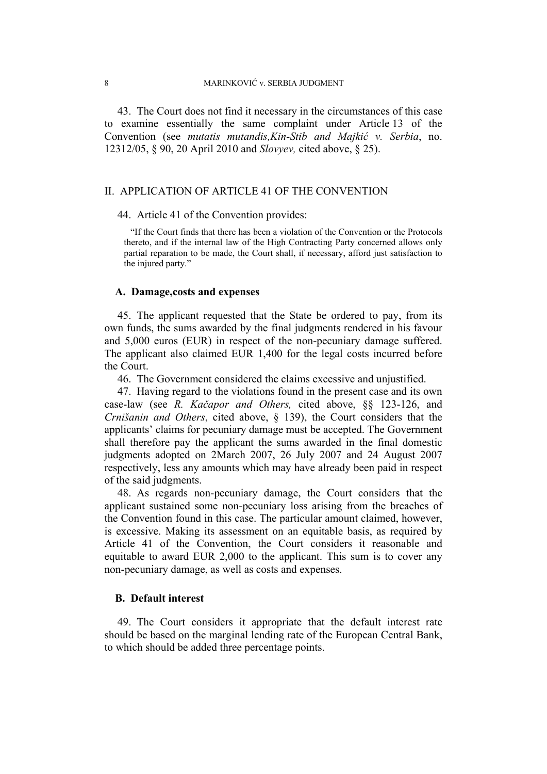43. The Court does not find it necessary in the circumstances of this case to examine essentially the same complaint under Article 13 of the Convention (see *mutatis mutandis,Kin-Stib and Majkić v. Serbia*, no. 12312/05, § 90, 20 April 2010 and *Slovyev,* cited above, § 25).

# II. APPLICATION OF ARTICLE 41 OF THE CONVENTION

#### 44. Article 41 of the Convention provides:

"If the Court finds that there has been a violation of the Convention or the Protocols thereto, and if the internal law of the High Contracting Party concerned allows only partial reparation to be made, the Court shall, if necessary, afford just satisfaction to the injured party."

#### **A. Damage,costs and expenses**

45. The applicant requested that the State be ordered to pay, from its own funds, the sums awarded by the final judgments rendered in his favour and 5,000 euros (EUR) in respect of the non-pecuniary damage suffered. The applicant also claimed EUR 1,400 for the legal costs incurred before the Court.

46. The Government considered the claims excessive and unjustified.

47. Having regard to the violations found in the present case and its own case-law (see *R. Kačapor and Others,* cited above, §§ 123-126, and *Crnišanin and Others*, cited above, § 139), the Court considers that the applicants' claims for pecuniary damage must be accepted. The Government shall therefore pay the applicant the sums awarded in the final domestic judgments adopted on 2March 2007, 26 July 2007 and 24 August 2007 respectively, less any amounts which may have already been paid in respect of the said judgments.

48. As regards non-pecuniary damage, the Court considers that the applicant sustained some non-pecuniary loss arising from the breaches of the Convention found in this case. The particular amount claimed, however, is excessive. Making its assessment on an equitable basis, as required by Article 41 of the Convention, the Court considers it reasonable and equitable to award EUR 2,000 to the applicant. This sum is to cover any non-pecuniary damage, as well as costs and expenses.

#### **B. Default interest**

49. The Court considers it appropriate that the default interest rate should be based on the marginal lending rate of the European Central Bank, to which should be added three percentage points.